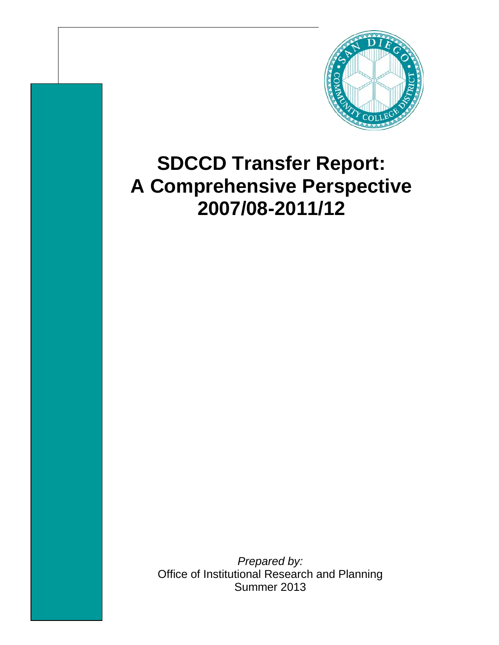

## **SDCCD Transfer Report: A Comprehensive Perspective 2007/08-2011/12**

*Prepared by:* Office of Institutional Research and Planning Summer 2013